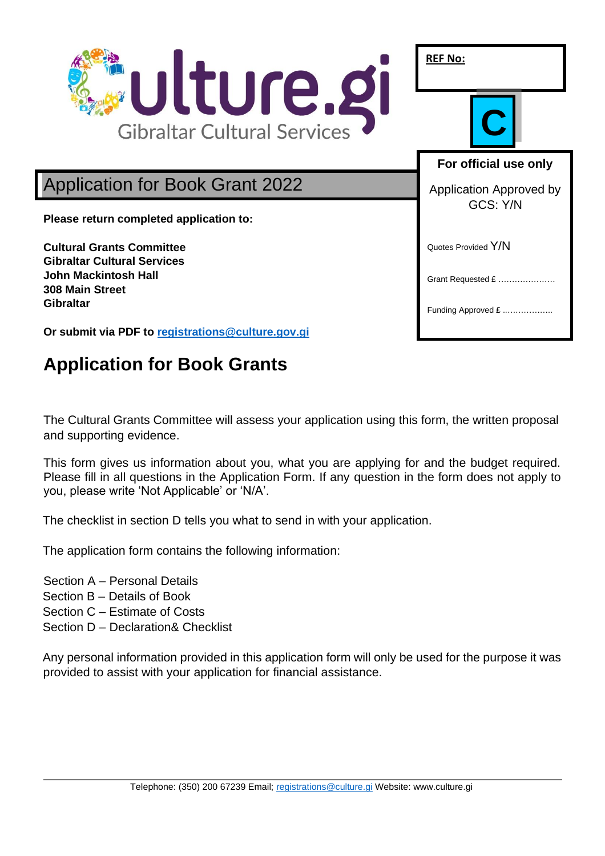

# **Application for Book Grants**

The Cultural Grants Committee will assess your application using this form, the written proposal and supporting evidence.

This form gives us information about you, what you are applying for and the budget required. Please fill in all questions in the Application Form. If any question in the form does not apply to you, please write 'Not Applicable' or 'N/A'.

The checklist in section D tells you what to send in with your application.

The application form contains the following information:

Section A – Personal Details Section B – Details of Book Section C – Estimate of Costs Section D – Declaration& Checklist

Any personal information provided in this application form will only be used for the purpose it was provided to assist with your application for financial assistance.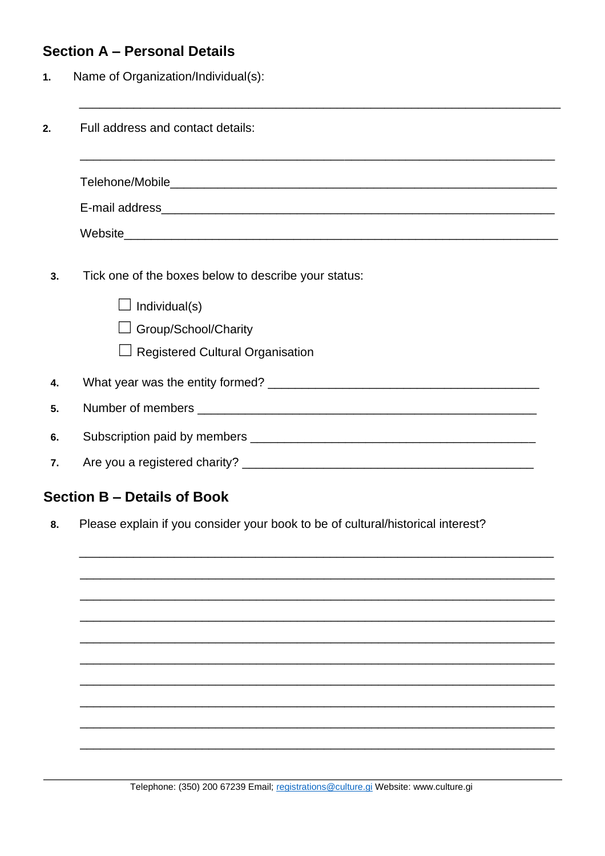## **Section A - Personal Details**

Name of Organization/Individual(s):  $1.$ 

| Full address and contact details:<br>2. |                                                                                                                                          |  |  |  |  |  |  |
|-----------------------------------------|------------------------------------------------------------------------------------------------------------------------------------------|--|--|--|--|--|--|
|                                         |                                                                                                                                          |  |  |  |  |  |  |
|                                         |                                                                                                                                          |  |  |  |  |  |  |
|                                         |                                                                                                                                          |  |  |  |  |  |  |
| 3.                                      | Tick one of the boxes below to describe your status:<br>Individual(s)<br>Group/School/Charity<br>$\Box$ Registered Cultural Organisation |  |  |  |  |  |  |
| 4.                                      |                                                                                                                                          |  |  |  |  |  |  |
| 5.                                      |                                                                                                                                          |  |  |  |  |  |  |
| 6.                                      |                                                                                                                                          |  |  |  |  |  |  |
| 7.                                      |                                                                                                                                          |  |  |  |  |  |  |
|                                         |                                                                                                                                          |  |  |  |  |  |  |

## **Section B - Details of Book**

Please explain if you consider your book to be of cultural/historical interest? 8.

Telephone: (350) 200 67239 Email; registrations@culture.gi Website: www.culture.gi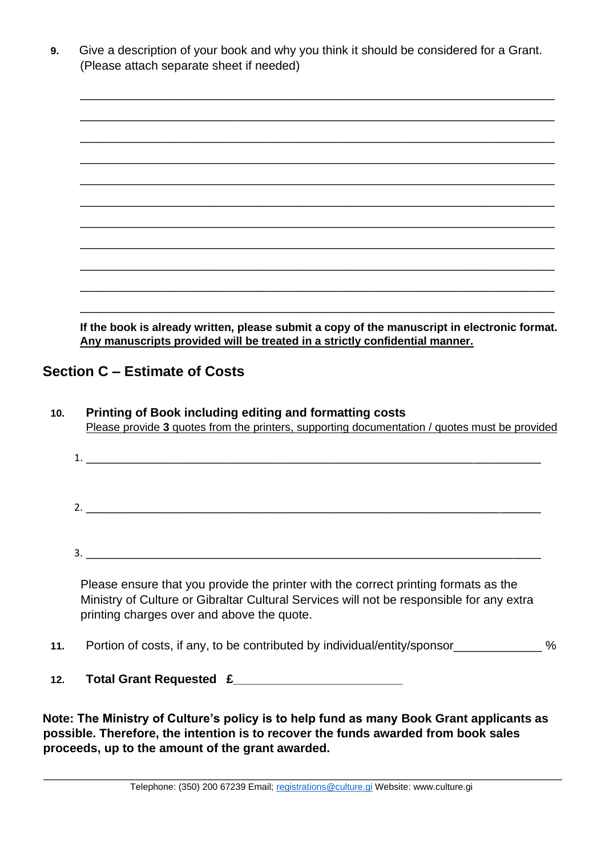| Give a description of your book and why you think it should be considered for a Grant. |
|----------------------------------------------------------------------------------------|
| (Please attach separate sheet if needed)                                               |

| If the book is already written, please submit a copy of the manuscript in electronic format |  |  |
|---------------------------------------------------------------------------------------------|--|--|

**If the book is already written, please submit a copy of the manuscript in electronic format. Any manuscripts provided will be treated in a strictly confidential manner.**

### **Section C – Estimate of Costs**

- **10. Printing of Book including editing and formatting costs** Please provide **3** quotes from the printers, supporting documentation / quotes must be provided
	- 1. \_\_\_\_\_\_\_\_\_\_\_\_\_\_\_\_\_\_\_\_\_\_\_\_\_\_\_\_\_\_\_\_\_\_\_\_\_\_\_\_\_\_\_\_\_\_\_\_\_\_\_\_\_\_\_\_\_\_\_\_\_\_\_\_\_\_\_  $2.$
	- $3.$

Please ensure that you provide the printer with the correct printing formats as the Ministry of Culture or Gibraltar Cultural Services will not be responsible for any extra printing charges over and above the quote.

- **11.** Portion of costs, if any, to be contributed by individual/entity/sponsor\_\_\_\_\_\_\_\_\_\_\_\_\_ %
- **12. Total Grant Requested £\_\_\_\_\_\_\_\_\_\_\_\_\_\_\_\_\_\_\_\_\_\_\_\_\_**

**Note: The Ministry of Culture's policy is to help fund as many Book Grant applicants as possible. Therefore, the intention is to recover the funds awarded from book sales proceeds, up to the amount of the grant awarded.**